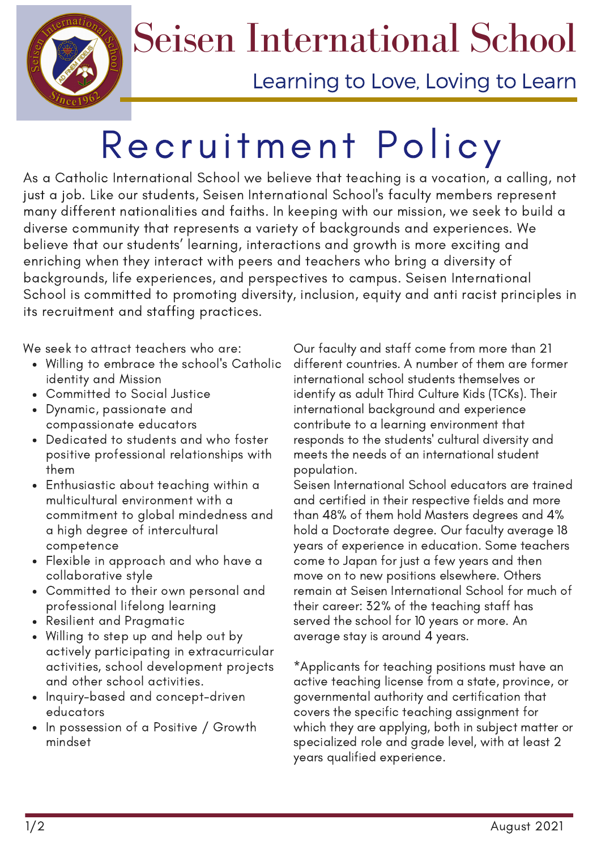

## Seisen International School

Learning to Love, Loving to Learn

## Recruitment Policy

As a Catholic International School we believe that teaching is a vocation, a calling, not just a job. Like our students, Seisen International School's faculty members represent many different nationalities and faiths. In keeping with our mission, we seek to build a diverse community that represents a variety of backgrounds and experiences. We believe that our students' learning, interactions and growth is more exciting and enriching when they interact with peers and teachers who bring a diversity of backgrounds, life experiences, and perspectives to campus. Seisen International School is committed to promoting diversity, inclusion, equity and anti racist principles in its recruitment and staffing practices.

- Willing to embrace the school's Catholic identity and Mission
- Committed to Social Justice
- Dynamic, passionate and compassionate educators
- Dedicated to students and who foster positive professional relationships with them
- Enthusiastic about teaching within a multicultural environment with a commitment to global mindedness and a high degree of intercultural competence
- Flexible in approach and who have a collaborative style
- Committed to their own personal and professional lifelong learning
- Resilient and Pragmatic
- Willing to step up and help out by actively participating in extracurricular activities, school development projects and other school activities.
- Inquiry-based and concept-driven educators
- In possession of a Positive / Growth mindset

We seek to attract teachers who are:  $\qquad \qquad$  Our faculty and staff come from more than 21 different countries. A number of them are former international school students themselves or identify as adult Third Culture Kids (TCKs). Their international background and experience contribute to a learning environment that responds to the students' cultural diversity and meets the needs of an international student population.

Seisen International School educators are trained and certified in their respective fields and more than 48% of them hold Masters degrees and 4% hold a Doctorate degree. Our faculty average 18 years of experience in education. Some teachers come to Japan for just a few years and then move on to new positions elsewhere. Others remain at Seisen International School for much of their career: 32% of the teaching staff has served the school for 10 years or more. An average stay is around 4 years.

\*Applicants for teaching positions must have an active teaching license from a state, province, or governmental authority and certification that covers the specific teaching assignment for which they are applying, both in subject matter or specialized role and grade level, with at least 2 years qualified experience.